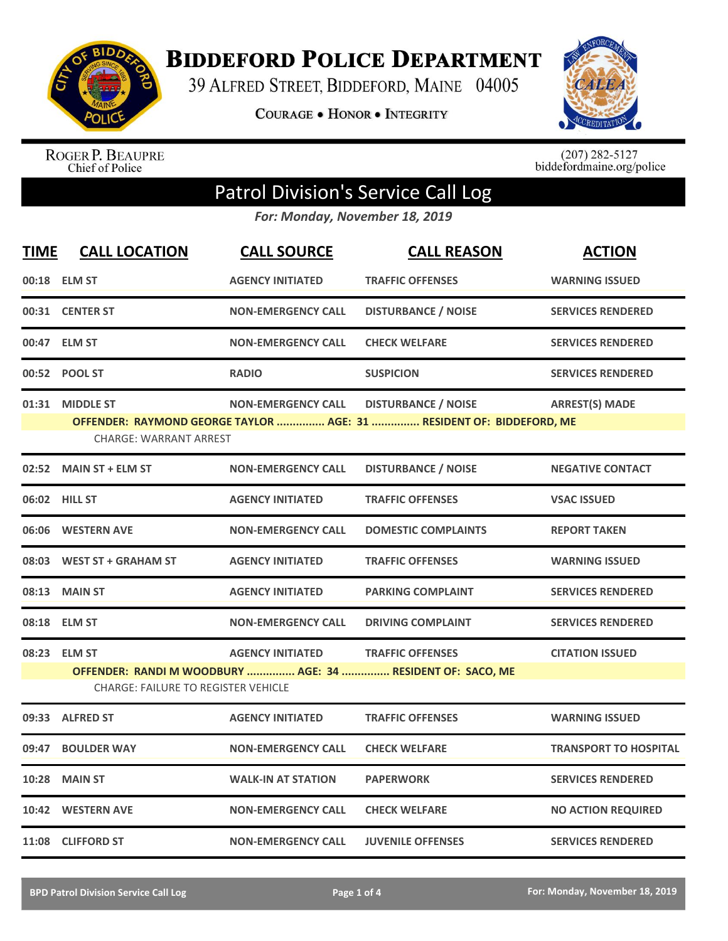

**BIDDEFORD POLICE DEPARTMENT** 

39 ALFRED STREET, BIDDEFORD, MAINE 04005

**COURAGE . HONOR . INTEGRITY** 



ROGER P. BEAUPRE<br>Chief of Police

 $(207)$  282-5127<br>biddefordmaine.org/police

## Patrol Division's Service Call Log

*For: Monday, November 18, 2019*

| <b>TIME</b> | <b>CALL LOCATION</b>                                                                                     | <b>CALL SOURCE</b>        | <b>CALL REASON</b>                                                   | <b>ACTION</b>                |  |
|-------------|----------------------------------------------------------------------------------------------------------|---------------------------|----------------------------------------------------------------------|------------------------------|--|
|             | 00:18 ELM ST                                                                                             | <b>AGENCY INITIATED</b>   | <b>TRAFFIC OFFENSES</b>                                              | <b>WARNING ISSUED</b>        |  |
|             | 00:31 CENTER ST                                                                                          | <b>NON-EMERGENCY CALL</b> | <b>DISTURBANCE / NOISE</b>                                           | <b>SERVICES RENDERED</b>     |  |
|             | 00:47 ELM ST                                                                                             | <b>NON-EMERGENCY CALL</b> | <b>CHECK WELFARE</b>                                                 | <b>SERVICES RENDERED</b>     |  |
|             | 00:52 POOL ST                                                                                            | <b>RADIO</b>              | <b>SUSPICION</b>                                                     | <b>SERVICES RENDERED</b>     |  |
|             | 01:31 MIDDLE ST                                                                                          | <b>NON-EMERGENCY CALL</b> | <b>DISTURBANCE / NOISE</b>                                           | <b>ARREST(S) MADE</b>        |  |
|             | <b>CHARGE: WARRANT ARREST</b>                                                                            |                           | OFFENDER: RAYMOND GEORGE TAYLOR  AGE: 31  RESIDENT OF: BIDDEFORD, ME |                              |  |
|             | 02:52 MAIN ST + ELM ST                                                                                   | <b>NON-EMERGENCY CALL</b> | <b>DISTURBANCE / NOISE</b>                                           | <b>NEGATIVE CONTACT</b>      |  |
|             | 06:02 HILL ST                                                                                            | <b>AGENCY INITIATED</b>   | <b>TRAFFIC OFFENSES</b>                                              | <b>VSAC ISSUED</b>           |  |
|             | 06:06 WESTERN AVE                                                                                        | <b>NON-EMERGENCY CALL</b> | <b>DOMESTIC COMPLAINTS</b>                                           | <b>REPORT TAKEN</b>          |  |
|             | 08:03 WEST ST + GRAHAM ST                                                                                | <b>AGENCY INITIATED</b>   | <b>TRAFFIC OFFENSES</b>                                              | <b>WARNING ISSUED</b>        |  |
|             | 08:13 MAIN ST                                                                                            | <b>AGENCY INITIATED</b>   | <b>PARKING COMPLAINT</b>                                             | <b>SERVICES RENDERED</b>     |  |
|             | 08:18 ELM ST                                                                                             | <b>NON-EMERGENCY CALL</b> | <b>DRIVING COMPLAINT</b>                                             | <b>SERVICES RENDERED</b>     |  |
|             | 08:23 ELM ST                                                                                             | <b>AGENCY INITIATED</b>   | <b>TRAFFIC OFFENSES</b>                                              | <b>CITATION ISSUED</b>       |  |
|             | OFFENDER: RANDI M WOODBURY  AGE: 34  RESIDENT OF: SACO, ME<br><b>CHARGE: FAILURE TO REGISTER VEHICLE</b> |                           |                                                                      |                              |  |
|             | 09:33 ALFRED ST                                                                                          | <b>AGENCY INITIATED</b>   | <b>TRAFFIC OFFENSES</b>                                              | <b>WARNING ISSUED</b>        |  |
| 09:47       | <b>BOULDER WAY</b>                                                                                       | <b>NON-EMERGENCY CALL</b> | <b>CHECK WELFARE</b>                                                 | <b>TRANSPORT TO HOSPITAL</b> |  |
| 10:28       | <b>MAIN ST</b>                                                                                           | <b>WALK-IN AT STATION</b> | <b>PAPERWORK</b>                                                     | <b>SERVICES RENDERED</b>     |  |
|             | 10:42 WESTERN AVE                                                                                        | <b>NON-EMERGENCY CALL</b> | <b>CHECK WELFARE</b>                                                 | <b>NO ACTION REQUIRED</b>    |  |
|             | 11:08 CLIFFORD ST                                                                                        | <b>NON-EMERGENCY CALL</b> | <b>JUVENILE OFFENSES</b>                                             | <b>SERVICES RENDERED</b>     |  |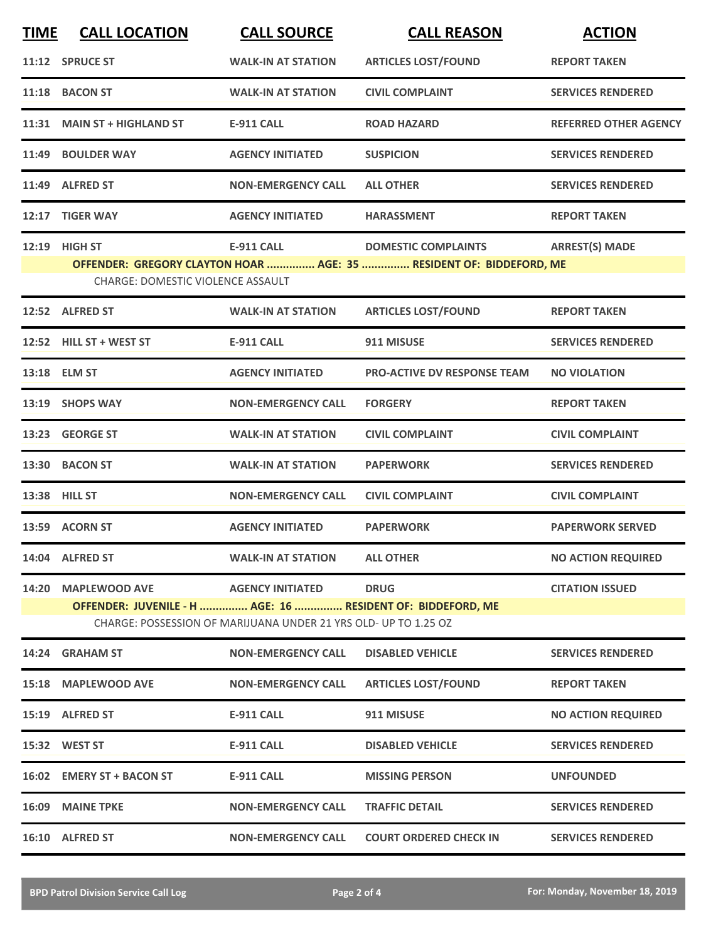| <b>TIME</b>                                                     | <b>CALL LOCATION</b>                                        | <b>CALL SOURCE</b>        | <b>CALL REASON</b>                                                  | <b>ACTION</b>                |  |
|-----------------------------------------------------------------|-------------------------------------------------------------|---------------------------|---------------------------------------------------------------------|------------------------------|--|
|                                                                 | 11:12 SPRUCE ST                                             | <b>WALK-IN AT STATION</b> | <b>ARTICLES LOST/FOUND</b>                                          | <b>REPORT TAKEN</b>          |  |
|                                                                 | 11:18 BACON ST                                              | <b>WALK-IN AT STATION</b> | <b>CIVIL COMPLAINT</b>                                              | <b>SERVICES RENDERED</b>     |  |
|                                                                 | 11:31 MAIN ST + HIGHLAND ST                                 | <b>E-911 CALL</b>         | <b>ROAD HAZARD</b>                                                  | <b>REFERRED OTHER AGENCY</b> |  |
|                                                                 | 11:49 BOULDER WAY                                           | <b>AGENCY INITIATED</b>   | <b>SUSPICION</b>                                                    | <b>SERVICES RENDERED</b>     |  |
|                                                                 | 11:49 ALFRED ST                                             | <b>NON-EMERGENCY CALL</b> | <b>ALL OTHER</b>                                                    | <b>SERVICES RENDERED</b>     |  |
|                                                                 | 12:17 TIGER WAY                                             | <b>AGENCY INITIATED</b>   | <b>HARASSMENT</b>                                                   | <b>REPORT TAKEN</b>          |  |
|                                                                 | 12:19 HIGH ST                                               | <b>E-911 CALL</b>         | <b>DOMESTIC COMPLAINTS</b>                                          | <b>ARREST(S) MADE</b>        |  |
|                                                                 |                                                             |                           | OFFENDER: GREGORY CLAYTON HOAR  AGE: 35  RESIDENT OF: BIDDEFORD, ME |                              |  |
|                                                                 | <b>CHARGE: DOMESTIC VIOLENCE ASSAULT</b>                    |                           |                                                                     |                              |  |
|                                                                 | 12:52 ALFRED ST                                             | <b>WALK-IN AT STATION</b> | <b>ARTICLES LOST/FOUND</b>                                          | <b>REPORT TAKEN</b>          |  |
|                                                                 | 12:52 HILL ST + WEST ST                                     | <b>E-911 CALL</b>         | 911 MISUSE                                                          | <b>SERVICES RENDERED</b>     |  |
|                                                                 | 13:18 ELM ST                                                | <b>AGENCY INITIATED</b>   | <b>PRO-ACTIVE DV RESPONSE TEAM</b>                                  | <b>NO VIOLATION</b>          |  |
|                                                                 | 13:19 SHOPS WAY                                             | <b>NON-EMERGENCY CALL</b> | <b>FORGERY</b>                                                      | <b>REPORT TAKEN</b>          |  |
|                                                                 | 13:23 GEORGE ST                                             | <b>WALK-IN AT STATION</b> | <b>CIVIL COMPLAINT</b>                                              | <b>CIVIL COMPLAINT</b>       |  |
|                                                                 | 13:30 BACON ST                                              | <b>WALK-IN AT STATION</b> | <b>PAPERWORK</b>                                                    | <b>SERVICES RENDERED</b>     |  |
|                                                                 | 13:38 HILL ST                                               | <b>NON-EMERGENCY CALL</b> | <b>CIVIL COMPLAINT</b>                                              | <b>CIVIL COMPLAINT</b>       |  |
|                                                                 | 13:59 ACORN ST                                              | <b>AGENCY INITIATED</b>   | <b>PAPERWORK</b>                                                    | <b>PAPERWORK SERVED</b>      |  |
|                                                                 | 14:04 ALFRED ST                                             | <b>WALK-IN AT STATION</b> | <b>ALL OTHER</b>                                                    | <b>NO ACTION REQUIRED</b>    |  |
|                                                                 | 14:20 MAPLEWOOD AVE                                         | <b>AGENCY INITIATED</b>   | <b>DRUG</b>                                                         | <b>CITATION ISSUED</b>       |  |
|                                                                 | OFFENDER: JUVENILE - H  AGE: 16  RESIDENT OF: BIDDEFORD, ME |                           |                                                                     |                              |  |
| CHARGE: POSSESSION OF MARIJUANA UNDER 21 YRS OLD- UP TO 1.25 OZ |                                                             |                           |                                                                     |                              |  |
|                                                                 | 14:24 GRAHAM ST                                             | <b>NON-EMERGENCY CALL</b> | <b>DISABLED VEHICLE</b>                                             | <b>SERVICES RENDERED</b>     |  |
|                                                                 | 15:18 MAPLEWOOD AVE                                         | <b>NON-EMERGENCY CALL</b> | <b>ARTICLES LOST/FOUND</b>                                          | <b>REPORT TAKEN</b>          |  |
|                                                                 | 15:19 ALFRED ST                                             | <b>E-911 CALL</b>         | 911 MISUSE                                                          | <b>NO ACTION REQUIRED</b>    |  |
|                                                                 | 15:32 WEST ST                                               | <b>E-911 CALL</b>         | <b>DISABLED VEHICLE</b>                                             | <b>SERVICES RENDERED</b>     |  |
|                                                                 | 16:02 EMERY ST + BACON ST                                   | <b>E-911 CALL</b>         | <b>MISSING PERSON</b>                                               | <b>UNFOUNDED</b>             |  |
|                                                                 | 16:09 MAINE TPKE                                            | <b>NON-EMERGENCY CALL</b> | <b>TRAFFIC DETAIL</b>                                               | <b>SERVICES RENDERED</b>     |  |
|                                                                 | 16:10 ALFRED ST                                             | <b>NON-EMERGENCY CALL</b> | <b>COURT ORDERED CHECK IN</b>                                       | <b>SERVICES RENDERED</b>     |  |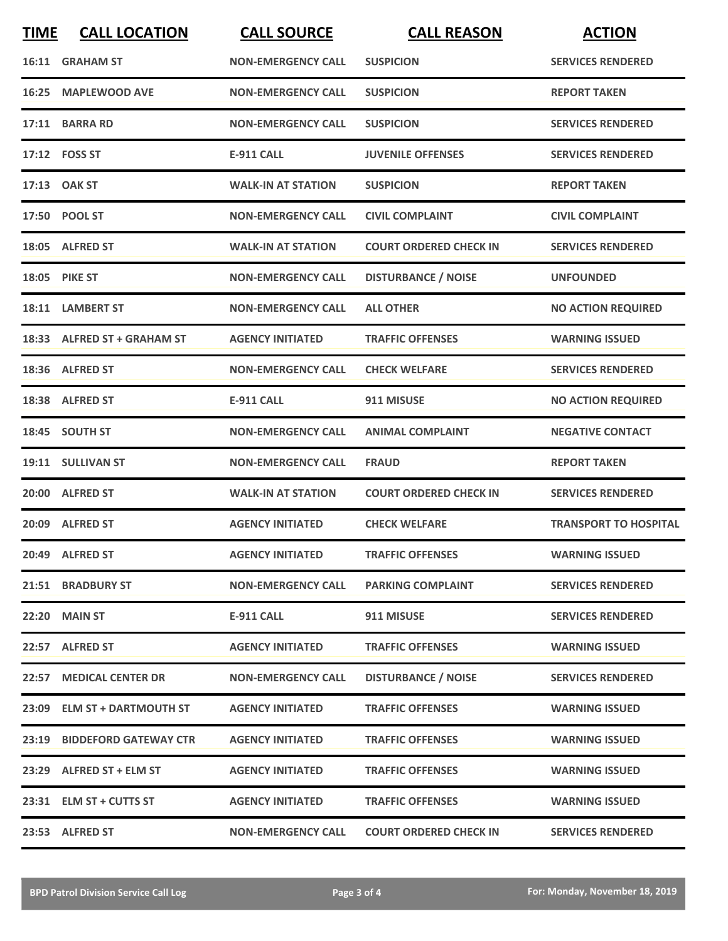| <b>TIME</b> | <b>CALL LOCATION</b>        | <b>CALL SOURCE</b>        | <b>CALL REASON</b>            | <b>ACTION</b>                |
|-------------|-----------------------------|---------------------------|-------------------------------|------------------------------|
|             | 16:11 GRAHAM ST             | <b>NON-EMERGENCY CALL</b> | <b>SUSPICION</b>              | <b>SERVICES RENDERED</b>     |
| 16:25       | <b>MAPLEWOOD AVE</b>        | <b>NON-EMERGENCY CALL</b> | <b>SUSPICION</b>              | <b>REPORT TAKEN</b>          |
|             | 17:11 BARRA RD              | <b>NON-EMERGENCY CALL</b> | <b>SUSPICION</b>              | <b>SERVICES RENDERED</b>     |
|             | 17:12    FOSS ST            | <b>E-911 CALL</b>         | <b>JUVENILE OFFENSES</b>      | <b>SERVICES RENDERED</b>     |
|             | 17:13 OAK ST                | <b>WALK-IN AT STATION</b> | <b>SUSPICION</b>              | <b>REPORT TAKEN</b>          |
|             | 17:50 POOL ST               | <b>NON-EMERGENCY CALL</b> | <b>CIVIL COMPLAINT</b>        | <b>CIVIL COMPLAINT</b>       |
|             | 18:05 ALFRED ST             | <b>WALK-IN AT STATION</b> | <b>COURT ORDERED CHECK IN</b> | <b>SERVICES RENDERED</b>     |
|             | 18:05 PIKE ST               | <b>NON-EMERGENCY CALL</b> | <b>DISTURBANCE / NOISE</b>    | <b>UNFOUNDED</b>             |
|             | 18:11 LAMBERT ST            | <b>NON-EMERGENCY CALL</b> | <b>ALL OTHER</b>              | <b>NO ACTION REQUIRED</b>    |
|             | 18:33 ALFRED ST + GRAHAM ST | <b>AGENCY INITIATED</b>   | <b>TRAFFIC OFFENSES</b>       | <b>WARNING ISSUED</b>        |
|             | 18:36 ALFRED ST             | <b>NON-EMERGENCY CALL</b> | <b>CHECK WELFARE</b>          | <b>SERVICES RENDERED</b>     |
|             | 18:38 ALFRED ST             | <b>E-911 CALL</b>         | 911 MISUSE                    | <b>NO ACTION REQUIRED</b>    |
|             | 18:45 SOUTH ST              | <b>NON-EMERGENCY CALL</b> | <b>ANIMAL COMPLAINT</b>       | <b>NEGATIVE CONTACT</b>      |
|             | 19:11 SULLIVAN ST           | <b>NON-EMERGENCY CALL</b> | <b>FRAUD</b>                  | <b>REPORT TAKEN</b>          |
|             | 20:00 ALFRED ST             | <b>WALK-IN AT STATION</b> | <b>COURT ORDERED CHECK IN</b> | <b>SERVICES RENDERED</b>     |
|             | 20:09 ALFRED ST             | <b>AGENCY INITIATED</b>   | <b>CHECK WELFARE</b>          | <b>TRANSPORT TO HOSPITAL</b> |
|             | 20:49 ALFRED ST             | <b>AGENCY INITIATED</b>   | <b>TRAFFIC OFFENSES</b>       | <b>WARNING ISSUED</b>        |
|             | 21:51 BRADBURY ST           | <b>NON-EMERGENCY CALL</b> | <b>PARKING COMPLAINT</b>      | <b>SERVICES RENDERED</b>     |
|             | <b>22:20 MAIN ST</b>        | E-911 CALL                | 911 MISUSE                    | <b>SERVICES RENDERED</b>     |
|             | 22:57 ALFRED ST             | <b>AGENCY INITIATED</b>   | <b>TRAFFIC OFFENSES</b>       | <b>WARNING ISSUED</b>        |
|             | 22:57 MEDICAL CENTER DR     | <b>NON-EMERGENCY CALL</b> | <b>DISTURBANCE / NOISE</b>    | <b>SERVICES RENDERED</b>     |
|             | 23:09 ELM ST + DARTMOUTH ST | <b>AGENCY INITIATED</b>   | <b>TRAFFIC OFFENSES</b>       | <b>WARNING ISSUED</b>        |
|             | 23:19 BIDDEFORD GATEWAY CTR | <b>AGENCY INITIATED</b>   | <b>TRAFFIC OFFENSES</b>       | <b>WARNING ISSUED</b>        |
|             | 23:29 ALFRED ST + ELM ST    | <b>AGENCY INITIATED</b>   | <b>TRAFFIC OFFENSES</b>       | <b>WARNING ISSUED</b>        |
|             | 23:31 ELM ST + CUTTS ST     | <b>AGENCY INITIATED</b>   | <b>TRAFFIC OFFENSES</b>       | <b>WARNING ISSUED</b>        |
|             | 23:53 ALFRED ST             | <b>NON-EMERGENCY CALL</b> | <b>COURT ORDERED CHECK IN</b> | <b>SERVICES RENDERED</b>     |